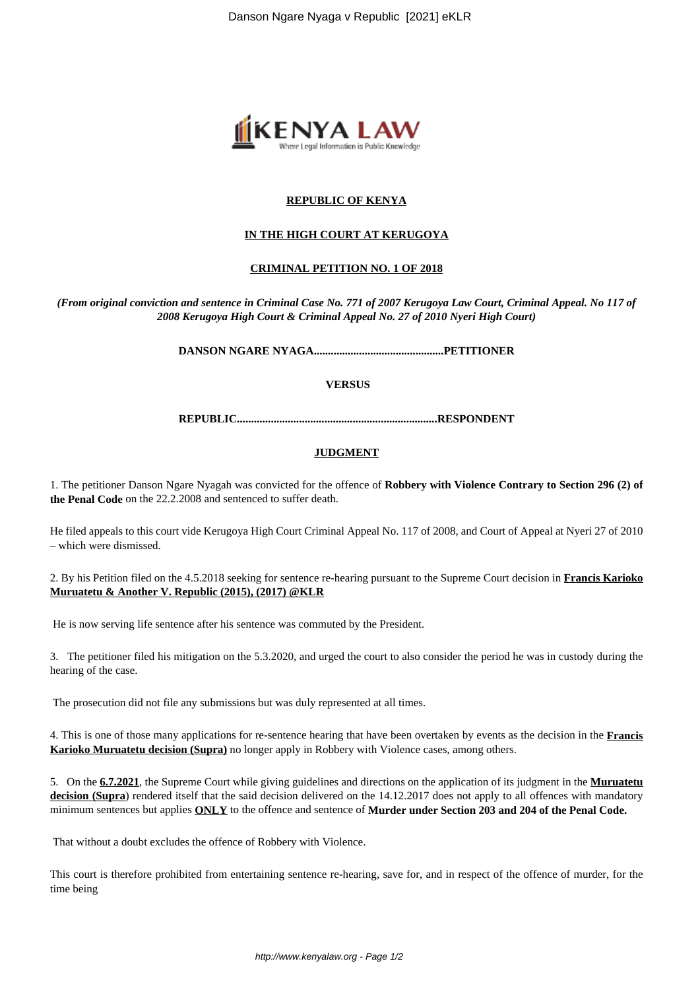

# **REPUBLIC OF KENYA**

#### **IN THE HIGH COURT AT KERUGOYA**

#### **CRIMINAL PETITION NO. 1 OF 2018**

*(From original conviction and sentence in Criminal Case No. 771 of 2007 Kerugoya Law Court, Criminal Appeal. No 117 of 2008 Kerugoya High Court & Criminal Appeal No. 27 of 2010 Nyeri High Court)*

**DANSON NGARE NYAGA..............................................PETITIONER**

## **VERSUS**

**REPUBLIC.......................................................................RESPONDENT**

## **JUDGMENT**

1. The petitioner Danson Ngare Nyagah was convicted for the offence of **Robbery with Violence Contrary to Section 296 (2) of the Penal Code** on the 22.2.2008 and sentenced to suffer death.

He filed appeals to this court vide Kerugoya High Court Criminal Appeal No. 117 of 2008, and Court of Appeal at Nyeri 27 of 2010 – which were dismissed.

2. By his Petition filed on the 4.5.2018 seeking for sentence re-hearing pursuant to the Supreme Court decision in **Francis Karioko Muruatetu & Another V. Republic (2015), (2017) @KLR**

He is now serving life sentence after his sentence was commuted by the President.

3. The petitioner filed his mitigation on the 5.3.2020, and urged the court to also consider the period he was in custody during the hearing of the case.

The prosecution did not file any submissions but was duly represented at all times.

4. This is one of those many applications for re-sentence hearing that have been overtaken by events as the decision in the **Francis Karioko Muruatetu decision (Supra)** no longer apply in Robbery with Violence cases, among others.

5. On the **6.7.2021**, the Supreme Court while giving guidelines and directions on the application of its judgment in the **Muruatetu** decision (Supra) rendered itself that the said decision delivered on the 14.12.2017 does not apply to all offences with mandatory minimum sentences but applies **ONLY** to the offence and sentence of **Murder under Section 203 and 204 of the Penal Code.**

That without a doubt excludes the offence of Robbery with Violence.

This court is therefore prohibited from entertaining sentence re-hearing, save for, and in respect of the offence of murder, for the time being